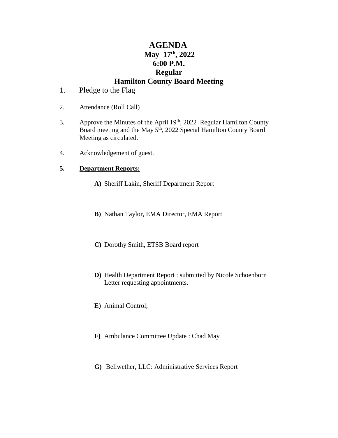# **AGENDA May** 17<sup>th</sup>, 2022 **6:00 P.M. Regular Hamilton County Board Meeting**

- 1. Pledge to the Flag
- 2. Attendance (Roll Call)
- 3. Approve the Minutes of the April 19<sup>th</sup>, 2022 Regular Hamilton County Board meeting and the May 5<sup>th</sup>, 2022 Special Hamilton County Board Meeting as circulated.
- 4. Acknowledgement of guest.

## **5. Department Reports:**

- **A)** Sheriff Lakin, Sheriff Department Report
- **B)** Nathan Taylor, EMA Director, EMA Report
- **C)** Dorothy Smith, ETSB Board report
- **D)** Health Department Report : submitted by Nicole Schoenborn Letter requesting appointments.
- **E)** Animal Control;
- **F)** Ambulance Committee Update : Chad May
- **G)** Bellwether, LLC: Administrative Services Report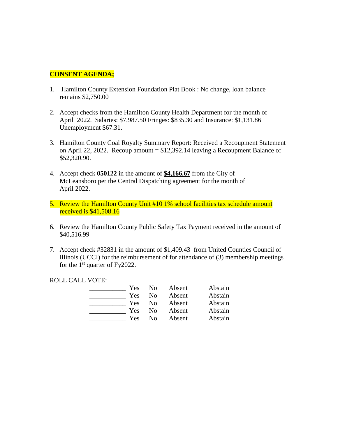## **CONSENT AGENDA;**

- 1. Hamilton County Extension Foundation Plat Book : No change, loan balance remains \$2,750.00
- 2. Accept checks from the Hamilton County Health Department for the month of April 2022. Salaries: \$7,987.50 Fringes: \$835.30 and Insurance: \$1,131.86 Unemployment \$67.31.
- 3. Hamilton County Coal Royalty Summary Report: Received a Recoupment Statement on April 22, 2022. Recoup amount =  $$12,392.14$  leaving a Recoupment Balance of \$52,320.90.
- 4. Accept check **050122** in the amount of **\$4,166.67** from the City of McLeansboro per the Central Dispatching agreement for the month of April 2022.
- 5. Review the Hamilton County Unit #10 1% school facilities tax schedule amount received is \$41,508.16
- 6. Review the Hamilton County Public Safety Tax Payment received in the amount of \$40,516.99
- 7. Accept check #32831 in the amount of \$1,409.43 from United Counties Council of Illinois (UCCI) for the reimbursement of for attendance of (3) membership meetings for the  $1<sup>st</sup>$  quarter of Fy2022.

#### ROLL CALL VOTE:

| <b>Yes</b> | No | Absent | Abstain |
|------------|----|--------|---------|
| Yes        | Nο | Absent | Abstain |
| <b>Yes</b> | No | Absent | Abstain |
| <b>Yes</b> | Nο | Absent | Abstain |
| Yes        | Nο | Absent | Abstain |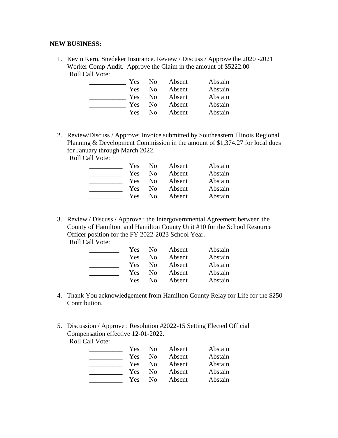#### **NEW BUSINESS:**

1. Kevin Kern, Snedeker Insurance. Review / Discuss / Approve the 2020 -2021 Worker Comp Audit. Approve the Claim in the amount of \$5222.00 Roll Call Vote:

| Yes | N <sub>0</sub> | Absent | Abstain |
|-----|----------------|--------|---------|
| Yes | No.            | Absent | Abstain |
| Yes | No.            | Absent | Abstain |
| Yes | No.            | Absent | Abstain |
| Yes | Nο             | Absent | Abstain |

2. Review/Discuss / Approve: Invoice submitted by Southeastern Illinois Regional Planning & Development Commission in the amount of \$1,374.27 for local dues for January through March 2022.

Roll Call Vote:

| Yes | No. | Absent | Abstain |
|-----|-----|--------|---------|
| Yes | Nο  | Absent | Abstain |
| Yes | No  | Absent | Abstain |
| Yes | Nο  | Absent | Abstain |
| Yes | Nο  | Absent | Abstain |

3. Review / Discuss / Approve : the Intergovernmental Agreement between the County of Hamilton and Hamilton County Unit #10 for the School Resource Officer position for the FY 2022-2023 School Year. Roll Call Vote:

| Yes | No. | Absent | Abstain |
|-----|-----|--------|---------|
| Yes | Nο  | Absent | Abstain |
| Yes | Nο  | Absent | Abstain |
| Yes | Nο  | Absent | Abstain |
| Yes | Nο  | Absent | Abstain |

- 4. Thank You acknowledgement from Hamilton County Relay for Life for the \$250 Contribution.
- 5. Discussion / Approve : Resolution #2022-15 Setting Elected Official Compensation effective 12-01-2022. Roll Call Vote:

| Yes        | N <sub>0</sub> | Absent | Abstain |
|------------|----------------|--------|---------|
| Yes        | No.            | Absent | Abstain |
| <b>Yes</b> | No             | Absent | Abstain |
| <b>Yes</b> | No             | Absent | Abstain |
| Yes        | Nο             | Absent | Abstain |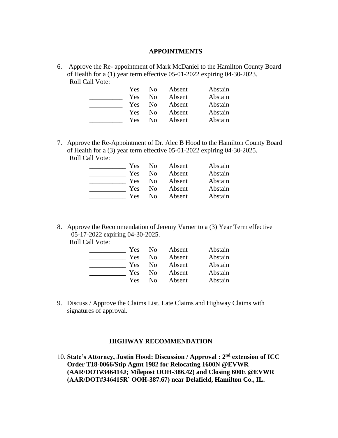#### **APPOINTMENTS**

6. Approve the Re- appointment of Mark McDaniel to the Hamilton County Board of Health for a (1) year term effective 05-01-2022 expiring 04-30-2023. Roll Call Vote:

| Yes | No. | Absent | Abstain |
|-----|-----|--------|---------|
| Yes | No  | Absent | Abstain |
| Yes | Nο  | Absent | Abstain |
| Yes | Nο  | Absent | Abstain |
| Yes | Nο  | Absent | Abstain |

7. Approve the Re-Appointment of Dr. Alec B Hood to the Hamilton County Board of Health for a (3) year term effective 05-01-2022 expiring 04-30-2025. Roll Call Vote:

| Yes | N <sub>0</sub> | Absent | Abstain |
|-----|----------------|--------|---------|
| Yes | N <sub>0</sub> | Absent | Abstain |
| Yes | N <sub>0</sub> | Absent | Abstain |
| Yes | N <sub>0</sub> | Absent | Abstain |
| Yes | Nο             | Absent | Abstain |

8. Approve the Recommendation of Jeremy Varner to a (3) Year Term effective 05-17-2022 expiring 04-30-2025.

Roll Call Vote:

| Yes | No. | Absent | Abstain |
|-----|-----|--------|---------|
| Yes | No. | Absent | Abstain |
| Yes | No. | Absent | Abstain |
| Yes | No. | Absent | Abstain |
| Yes | Nο  | Absent | Abstain |

9. Discuss / Approve the Claims List, Late Claims and Highway Claims with signatures of approval.

### **HIGHWAY RECOMMENDATION**

10. **State's Attorney, Justin Hood: Discussion / Approval : 2nd extension of ICC Order T18-0066/Stip Agmt 1982 for Relocating 1600N @EVWR (AAR/DOT#346414J; Milepost OOH-386.42) and Closing 600E @EVWR (AAR/DOT#346415R' OOH-387.67) near Delafield, Hamilton Co., IL.**